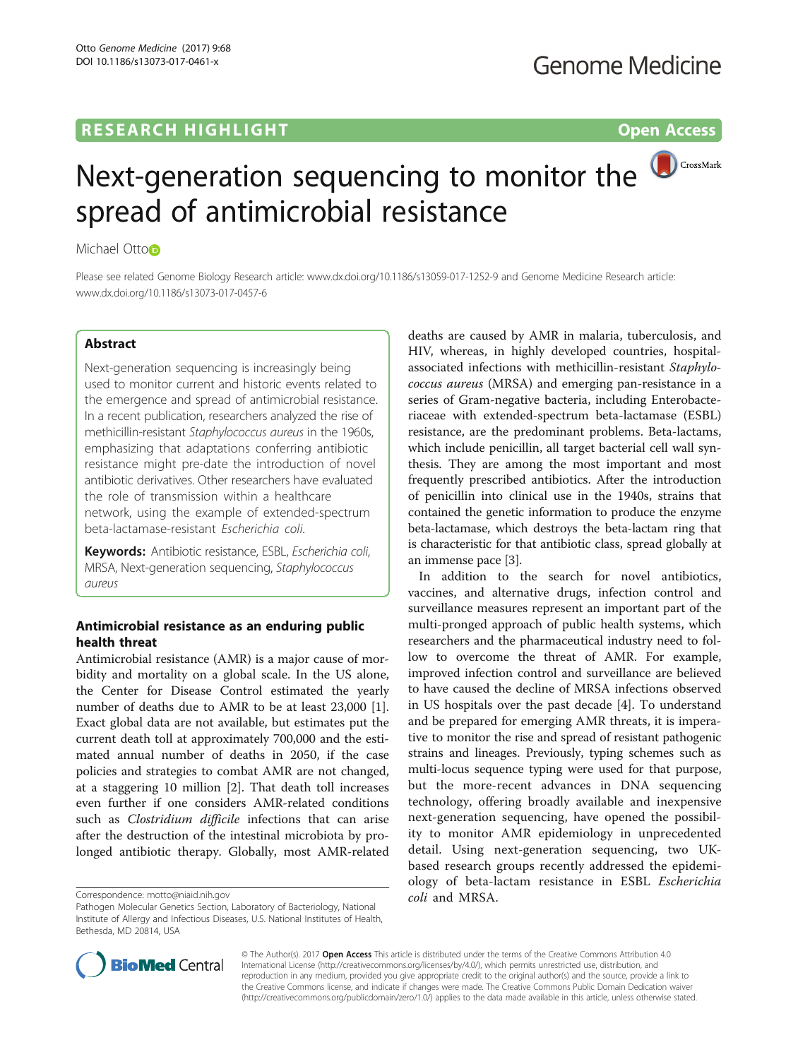## **RESEARCH HIGHLIGHT CONSUMING THE OPEN ACCESS**

# CrossMark Next-generation sequencing to monitor the spread of antimicrobial resistance

Michael Otto<sub>D</sub>

Please see related Genome Biology Research article: [www.dx.doi.org/10.1186/s13059-017-1252-9](http://www.dx.doi.org/10.1186/s13059-017-1252-9) and Genome Medicine Research article: [www.dx.doi.org/10.1186/s13073-017-0457-6](http://www.dx.doi.org/10.1186/s13073-017-0457-6)

## Abstract

Next-generation sequencing is increasingly being used to monitor current and historic events related to the emergence and spread of antimicrobial resistance. In a recent publication, researchers analyzed the rise of methicillin-resistant Staphylococcus aureus in the 1960s, emphasizing that adaptations conferring antibiotic resistance might pre-date the introduction of novel antibiotic derivatives. Other researchers have evaluated the role of transmission within a healthcare network, using the example of extended-spectrum beta-lactamase-resistant Escherichia coli.

Keywords: Antibiotic resistance, ESBL, Escherichia coli, MRSA, Next-generation sequencing, Staphylococcus aureus

## Antimicrobial resistance as an enduring public health threat

Antimicrobial resistance (AMR) is a major cause of morbidity and mortality on a global scale. In the US alone, the Center for Disease Control estimated the yearly number of deaths due to AMR to be at least 23,000 [\[1](#page-2-0)]. Exact global data are not available, but estimates put the current death toll at approximately 700,000 and the estimated annual number of deaths in 2050, if the case policies and strategies to combat AMR are not changed, at a staggering 10 million [\[2](#page-2-0)]. That death toll increases even further if one considers AMR-related conditions such as Clostridium difficile infections that can arise after the destruction of the intestinal microbiota by prolonged antibiotic therapy. Globally, most AMR-related

Correspondence: [motto@niaid.nih.gov](mailto:motto@niaid.nih.gov)

deaths are caused by AMR in malaria, tuberculosis, and HIV, whereas, in highly developed countries, hospitalassociated infections with methicillin-resistant Staphylococcus aureus (MRSA) and emerging pan-resistance in a series of Gram-negative bacteria, including Enterobacteriaceae with extended-spectrum beta-lactamase (ESBL) resistance, are the predominant problems. Beta-lactams, which include penicillin, all target bacterial cell wall synthesis. They are among the most important and most frequently prescribed antibiotics. After the introduction of penicillin into clinical use in the 1940s, strains that contained the genetic information to produce the enzyme beta-lactamase, which destroys the beta-lactam ring that is characteristic for that antibiotic class, spread globally at an immense pace [[3\]](#page-2-0).

In addition to the search for novel antibiotics, vaccines, and alternative drugs, infection control and surveillance measures represent an important part of the multi-pronged approach of public health systems, which researchers and the pharmaceutical industry need to follow to overcome the threat of AMR. For example, improved infection control and surveillance are believed to have caused the decline of MRSA infections observed in US hospitals over the past decade [[4\]](#page-2-0). To understand and be prepared for emerging AMR threats, it is imperative to monitor the rise and spread of resistant pathogenic strains and lineages. Previously, typing schemes such as multi-locus sequence typing were used for that purpose, but the more-recent advances in DNA sequencing technology, offering broadly available and inexpensive next-generation sequencing, have opened the possibility to monitor AMR epidemiology in unprecedented detail. Using next-generation sequencing, two UKbased research groups recently addressed the epidemiology of beta-lactam resistance in ESBL Escherichia coli and MRSA.



© The Author(s). 2017 **Open Access** This article is distributed under the terms of the Creative Commons Attribution 4.0 International License [\(http://creativecommons.org/licenses/by/4.0/](http://creativecommons.org/licenses/by/4.0/)), which permits unrestricted use, distribution, and reproduction in any medium, provided you give appropriate credit to the original author(s) and the source, provide a link to the Creative Commons license, and indicate if changes were made. The Creative Commons Public Domain Dedication waiver [\(http://creativecommons.org/publicdomain/zero/1.0/](http://creativecommons.org/publicdomain/zero/1.0/)) applies to the data made available in this article, unless otherwise stated.

Pathogen Molecular Genetics Section, Laboratory of Bacteriology, National Institute of Allergy and Infectious Diseases, U.S. National Institutes of Health, Bethesda, MD 20814, USA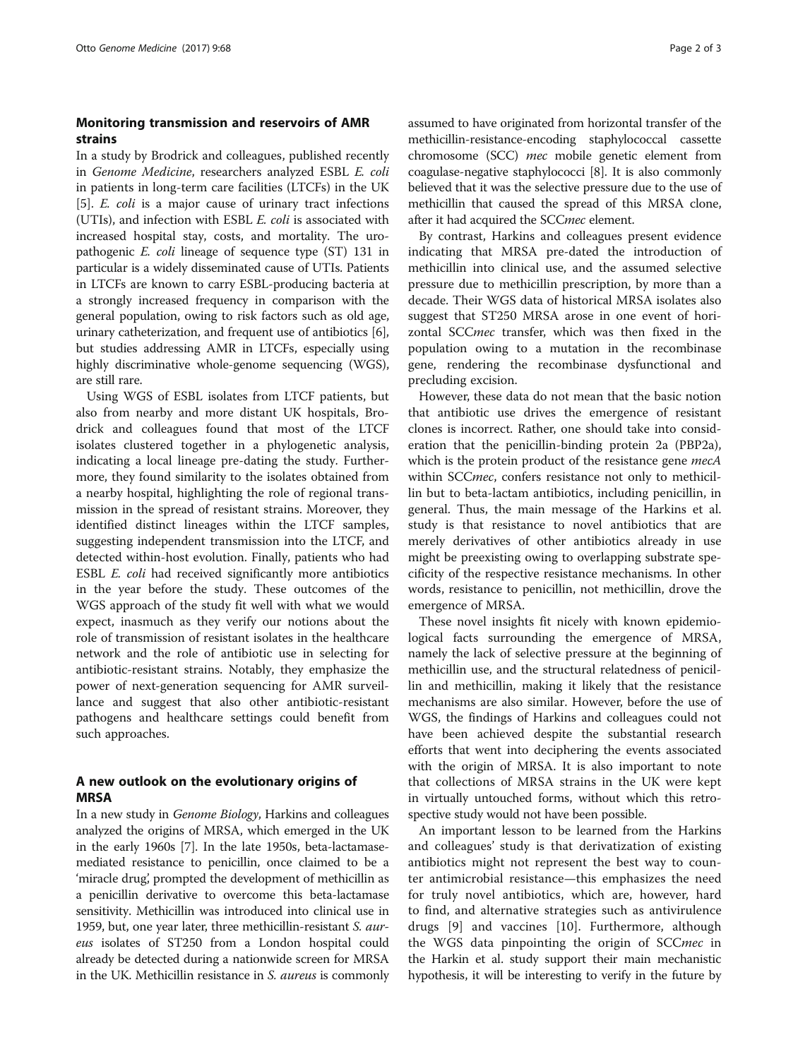## Monitoring transmission and reservoirs of AMR strains

In a study by Brodrick and colleagues, published recently in Genome Medicine, researchers analyzed ESBL E. coli in patients in long-term care facilities (LTCFs) in the UK [[5\]](#page-2-0). E. coli is a major cause of urinary tract infections (UTIs), and infection with ESBL E. coli is associated with increased hospital stay, costs, and mortality. The uropathogenic E. coli lineage of sequence type (ST) 131 in particular is a widely disseminated cause of UTIs. Patients in LTCFs are known to carry ESBL-producing bacteria at a strongly increased frequency in comparison with the general population, owing to risk factors such as old age, urinary catheterization, and frequent use of antibiotics [[6](#page-2-0)], but studies addressing AMR in LTCFs, especially using highly discriminative whole-genome sequencing (WGS), are still rare.

Using WGS of ESBL isolates from LTCF patients, but also from nearby and more distant UK hospitals, Brodrick and colleagues found that most of the LTCF isolates clustered together in a phylogenetic analysis, indicating a local lineage pre-dating the study. Furthermore, they found similarity to the isolates obtained from a nearby hospital, highlighting the role of regional transmission in the spread of resistant strains. Moreover, they identified distinct lineages within the LTCF samples, suggesting independent transmission into the LTCF, and detected within-host evolution. Finally, patients who had ESBL E. coli had received significantly more antibiotics in the year before the study. These outcomes of the WGS approach of the study fit well with what we would expect, inasmuch as they verify our notions about the role of transmission of resistant isolates in the healthcare network and the role of antibiotic use in selecting for antibiotic-resistant strains. Notably, they emphasize the power of next-generation sequencing for AMR surveillance and suggest that also other antibiotic-resistant pathogens and healthcare settings could benefit from such approaches.

## A new outlook on the evolutionary origins of MRSA

In a new study in Genome Biology, Harkins and colleagues analyzed the origins of MRSA, which emerged in the UK in the early 1960s [[7\]](#page-2-0). In the late 1950s, beta-lactamasemediated resistance to penicillin, once claimed to be a 'miracle drug', prompted the development of methicillin as a penicillin derivative to overcome this beta-lactamase sensitivity. Methicillin was introduced into clinical use in 1959, but, one year later, three methicillin-resistant S. aureus isolates of ST250 from a London hospital could already be detected during a nationwide screen for MRSA in the UK. Methicillin resistance in S. aureus is commonly assumed to have originated from horizontal transfer of the methicillin-resistance-encoding staphylococcal cassette chromosome (SCC) mec mobile genetic element from coagulase-negative staphylococci [\[8](#page-2-0)]. It is also commonly believed that it was the selective pressure due to the use of methicillin that caused the spread of this MRSA clone, after it had acquired the SCCmec element.

By contrast, Harkins and colleagues present evidence indicating that MRSA pre-dated the introduction of methicillin into clinical use, and the assumed selective pressure due to methicillin prescription, by more than a decade. Their WGS data of historical MRSA isolates also suggest that ST250 MRSA arose in one event of horizontal SCCmec transfer, which was then fixed in the population owing to a mutation in the recombinase gene, rendering the recombinase dysfunctional and precluding excision.

However, these data do not mean that the basic notion that antibiotic use drives the emergence of resistant clones is incorrect. Rather, one should take into consideration that the penicillin-binding protein 2a (PBP2a), which is the protein product of the resistance gene *mecA* within SCCmec, confers resistance not only to methicillin but to beta-lactam antibiotics, including penicillin, in general. Thus, the main message of the Harkins et al. study is that resistance to novel antibiotics that are merely derivatives of other antibiotics already in use might be preexisting owing to overlapping substrate specificity of the respective resistance mechanisms. In other words, resistance to penicillin, not methicillin, drove the emergence of MRSA.

These novel insights fit nicely with known epidemiological facts surrounding the emergence of MRSA, namely the lack of selective pressure at the beginning of methicillin use, and the structural relatedness of penicillin and methicillin, making it likely that the resistance mechanisms are also similar. However, before the use of WGS, the findings of Harkins and colleagues could not have been achieved despite the substantial research efforts that went into deciphering the events associated with the origin of MRSA. It is also important to note that collections of MRSA strains in the UK were kept in virtually untouched forms, without which this retrospective study would not have been possible.

An important lesson to be learned from the Harkins and colleagues' study is that derivatization of existing antibiotics might not represent the best way to counter antimicrobial resistance—this emphasizes the need for truly novel antibiotics, which are, however, hard to find, and alternative strategies such as antivirulence drugs [[9\]](#page-2-0) and vaccines [\[10](#page-2-0)]. Furthermore, although the WGS data pinpointing the origin of SCCmec in the Harkin et al. study support their main mechanistic hypothesis, it will be interesting to verify in the future by